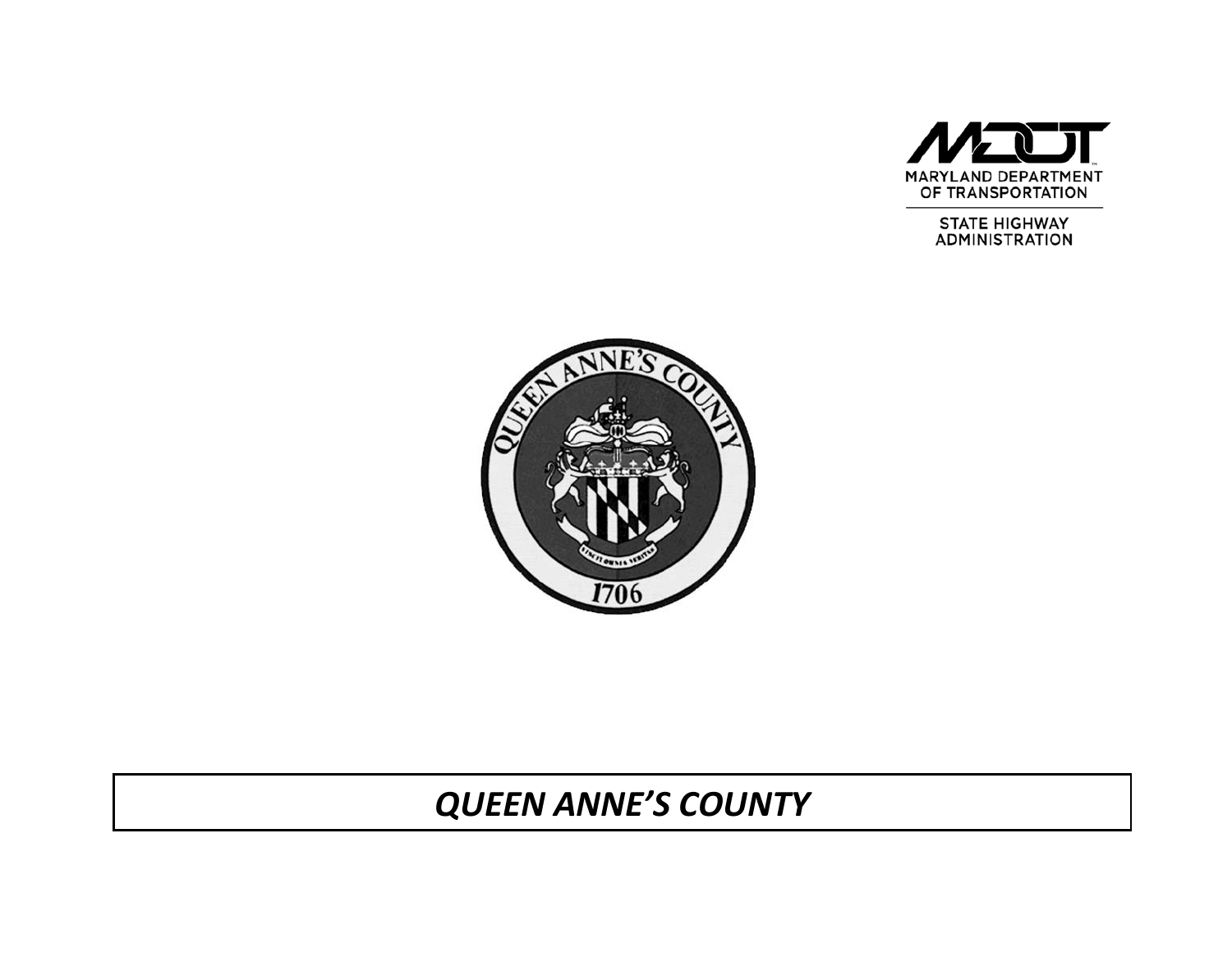

STATE HIGHWAY<br>ADMINISTRATION



# *QUEEN ANNE'S COUNTY*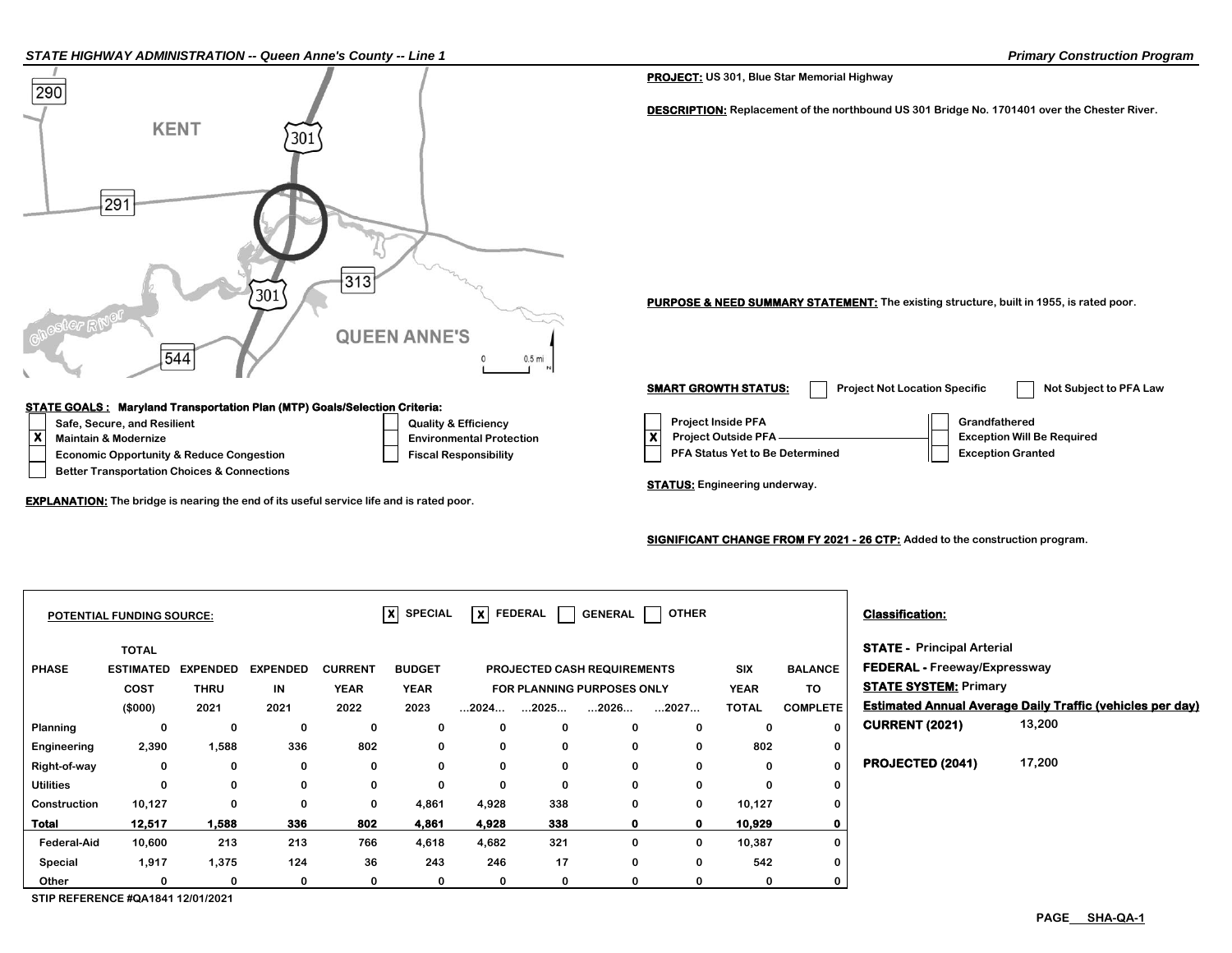#### *STATE HIGHWAY ADMINISTRATION -- Queen Anne's County -- Line 1 Primary Construction Program*



#### **SIGNIFICANT CHANGE FROM FY 2021 - 26 CTP: Added to the construction program.**

|                    | <b>POTENTIAL FUNDING SOURCE:</b> |                 |                 |                | $\overline{\mathsf{x}}$ SPECIAL |                                                             | $ X $ FEDERAL $ $    | <b>GENERAL</b>       | OTHER        |              |                                     | <b>Classification:</b>            |                                                                  |
|--------------------|----------------------------------|-----------------|-----------------|----------------|---------------------------------|-------------------------------------------------------------|----------------------|----------------------|--------------|--------------|-------------------------------------|-----------------------------------|------------------------------------------------------------------|
|                    | <b>TOTAL</b>                     |                 |                 |                |                                 |                                                             |                      |                      |              |              |                                     | <b>STATE - Principal Arterial</b> |                                                                  |
| <b>PHASE</b>       | <b>ESTIMATED</b>                 | <b>EXPENDED</b> | <b>EXPENDED</b> | <b>CURRENT</b> | <b>BUDGET</b>                   | <b>SIX</b><br><b>BALANCE</b><br>PROJECTED CASH REQUIREMENTS |                      |                      |              |              | <b>FEDERAL - Freeway/Expressway</b> |                                   |                                                                  |
|                    | COST                             | <b>THRU</b>     | IN              | <b>YEAR</b>    | <b>YEAR</b>                     | FOR PLANNING PURPOSES ONLY                                  |                      |                      | <b>YEAR</b>  | TO           | <b>STATE SYSTEM: Primary</b>        |                                   |                                                                  |
|                    | (\$000)                          | 2021            | 2021            | 2022           | 2023                            | $\dots$ 2024 $\dots$                                        | $\dots$ 2025 $\dots$ | $\dots$ 2026 $\dots$ | 2027         | <b>TOTAL</b> | <b>COMPLETE</b>                     |                                   | <b>Estimated Annual Average Daily Traffic (vehicles per day)</b> |
| Planning           | 0                                | 0               | 0               | 0              | 0                               | 0                                                           | 0                    | $\Omega$             | 0            | 0            | $\bf{0}$                            | <b>CURRENT (2021)</b>             | 13,200                                                           |
| Engineering        | 2,390                            | 1,588           | 336             | 802            | 0                               | 0                                                           | 0                    |                      | 0            | 802          | $\mathbf 0$                         |                                   |                                                                  |
| Right-of-way       | 0                                | 0               | 0               | 0              | 0                               | 0                                                           | 0                    | 0                    | 0            | 0            | $\Omega$                            | PROJECTED (2041)                  | 17,200                                                           |
| <b>Utilities</b>   | $\Omega$                         | 0               | $\Omega$        | 0              | $\mathbf 0$                     | 0                                                           | 0                    | 0                    | 0            | $\mathbf{0}$ | 0                                   |                                   |                                                                  |
| Construction       | 10,127                           | $\mathbf 0$     | 0               | 0              | 4,861                           | 4,928                                                       | 338                  | $\mathbf{0}$         | 0            | 10,127       | 0                                   |                                   |                                                                  |
| Total              | 12,517                           | 1,588           | 336             | 802            | 4,861                           | 4,928                                                       | 338                  |                      | $\mathbf{o}$ | 10,929       | 0                                   |                                   |                                                                  |
| <b>Federal-Aid</b> | 10,600                           | 213             | 213             | 766            | 4,618                           | 4,682                                                       | 321                  | 0                    | 0            | 10,387       | 0                                   |                                   |                                                                  |
| Special            | 1,917                            | 1,375           | 124             | 36             | 243                             | 246                                                         | 17                   | 0                    | 0            | 542          | 0                                   |                                   |                                                                  |
| Other              |                                  | 0               | 0               | 0              | 0                               | 0                                                           | 0                    |                      | 0            | 0            | 0                                   |                                   |                                                                  |

**STIP REFERENCE #QA1841 12/01/2021**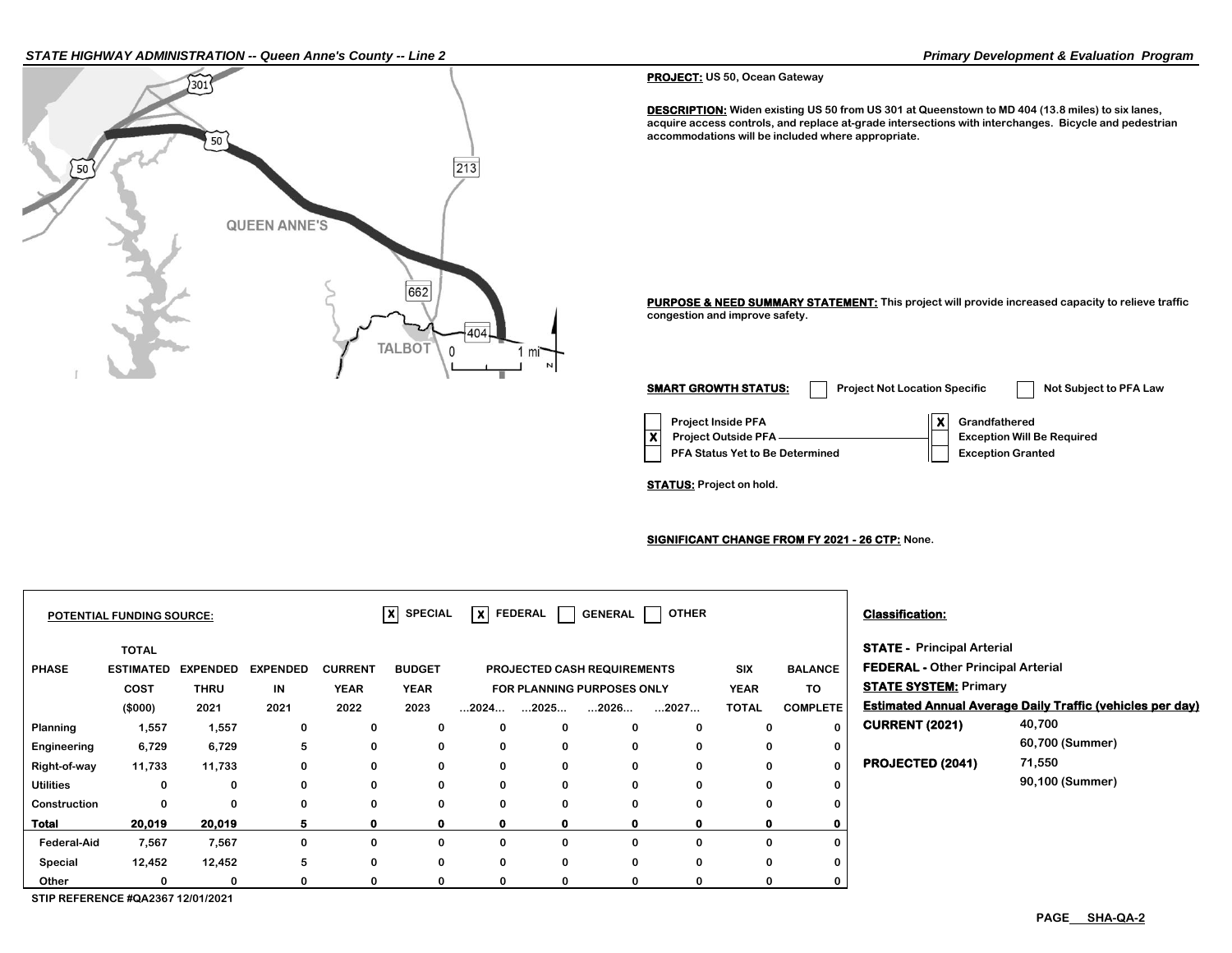### *STATE HIGHWAY ADMINISTRATION -- Queen Anne's County -- Line 2 Primary Development & Evaluation Program*



#### **PROJECT: US 50, Ocean Gateway**

**DESCRIPTION: Widen existing US 50 from US 301 at Queenstown to MD 404 (13.8 miles) to six lanes, acquire access controls, and replace at-grade intersections with interchanges. Bicycle and pedestrian accommodations will be included where appropriate.**

**PURPOSE & NEED SUMMARY STATEMENT: This project will provide increased capacity to relieve traffic congestion and improve safety.**

**Project Inside PFA X** Grandfathered **PFA Status Yet to Be Determined**  Exception Granted **X Project Outside PFA Exception Will Be Required SMART GROWTH STATUS:** Project Not Location Specific Not Subject to PFA Law

**STATUS: Project on hold.**

**SIGNIFICANT CHANGE FROM FY 2021 - 26 CTP: None.**

| $ X $ SPECIAL<br><b>POTENTIAL FUNDING SOURCE:</b> |                                       |                 |                 |                |               | $\overline{\mathsf{x}}$ FEDERAL                 |                                           | <b>GENERAL</b>       | <b>OTHER</b> |              |                              | <b>Classification:</b>                    |                                                                  |  |
|---------------------------------------------------|---------------------------------------|-----------------|-----------------|----------------|---------------|-------------------------------------------------|-------------------------------------------|----------------------|--------------|--------------|------------------------------|-------------------------------------------|------------------------------------------------------------------|--|
|                                                   | <b>TOTAL</b>                          |                 |                 |                |               |                                                 |                                           |                      |              |              |                              | <b>STATE - Principal Arterial</b>         |                                                                  |  |
| <b>PHASE</b>                                      | <b>ESTIMATED</b>                      | <b>EXPENDED</b> | <b>EXPENDED</b> | <b>CURRENT</b> | <b>BUDGET</b> |                                                 | <b>SIX</b><br>PROJECTED CASH REQUIREMENTS |                      |              |              | <b>BALANCE</b>               | <b>FEDERAL - Other Principal Arterial</b> |                                                                  |  |
|                                                   | COST                                  | <b>THRU</b>     | IN              | <b>YEAR</b>    | <b>YEAR</b>   | TO<br><b>YEAR</b><br>FOR PLANNING PURPOSES ONLY |                                           |                      |              |              | <b>STATE SYSTEM: Primary</b> |                                           |                                                                  |  |
|                                                   | (\$000)                               | 2021            | 2021            | 2022           | 2023          | $\dots$ 2024 $\dots$                            | $\dots$ 2025 $\dots$                      | $\dots$ 2026 $\dots$ | 2027         | <b>TOTAL</b> | <b>COMPLETE</b>              |                                           | <b>Estimated Annual Average Daily Traffic (vehicles per day)</b> |  |
| Planning                                          | 1,557                                 | 1,557           | 0               | 0              | $\mathbf{0}$  | 0                                               | $\mathbf 0$                               | 0                    |              | 0            | 0                            | <b>CURRENT (2021)</b>                     | 40,700                                                           |  |
| Engineering                                       | 6,729                                 | 6,729           | 5               | 0              | 0             | 0                                               | $\mathbf 0$                               | $\mathbf{0}$         |              | 0            | 0                            |                                           | 60,700 (Summer)                                                  |  |
| Right-of-way                                      | 11,733                                | 11,733          | 0               | 0              | 0             | 0                                               | $\bf{0}$                                  | 0                    |              | 0            | $\mathbf 0$                  | <b>PROJECTED (2041)</b>                   | 71,550                                                           |  |
| <b>Utilities</b>                                  | 0                                     | 0               |                 | 0              | 0             | 0                                               | $\mathbf 0$                               | $\bf{0}$             |              | 0            | 0                            |                                           | 90,100 (Summer)                                                  |  |
| Construction                                      | $\bf{0}$                              | 0               |                 | 0              | 0             | 0                                               | 0                                         | 0                    |              | 0            | 0                            |                                           |                                                                  |  |
| Total                                             | 20,019                                | 20,019          | 5.              | $\mathbf o$    |               | $\mathbf{0}$                                    | $\mathbf{o}$                              | 0                    |              | 0.           | o                            |                                           |                                                                  |  |
| <b>Federal-Aid</b>                                | 7,567                                 | 7,567           | 0               | 0              | $\mathbf{0}$  | 0                                               | $\mathbf{0}$                              | 0                    |              | 0            | 0                            |                                           |                                                                  |  |
| Special                                           | 12,452                                | 12,452          | 5               | 0              | 0             | 0                                               | 0                                         | 0                    |              | 0            | 0                            |                                           |                                                                  |  |
| Other                                             |                                       | 0               |                 | $\Omega$       |               | 0                                               | $\mathbf{0}$                              | 0                    |              | 0            | 0                            |                                           |                                                                  |  |
|                                                   | $O$ TID DEFEDENAE #OA 0007 40/04/0004 |                 |                 |                |               |                                                 |                                           |                      |              |              |                              |                                           |                                                                  |  |

**STIP REFERENCE #QA2367 12/01/2021**